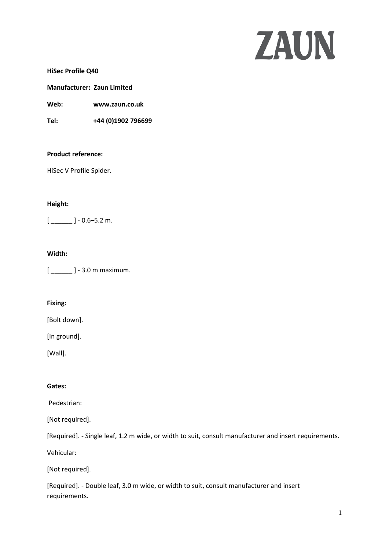# ZAUN

**HiSec Profile Q40**

## **Manufacturer: Zaun Limited**

**Web: www.zaun.co.uk**

**Tel: +44 (0)1902 796699**

### **Product reference:**

HiSec V Profile Spider.

# **Height:**

 $[-$  ] - 0.6–5.2 m.

## **Width:**

[ \_\_\_\_\_\_ ] - 3.0 m maximum.

# **Fixing:**

[Bolt down].

[In ground].

[Wall].

# **Gates:**

Pedestrian:

[Not required].

[Required]. - Single leaf, 1.2 m wide, or width to suit, consult manufacturer and insert requirements.

Vehicular:

[Not required].

[Required]. - Double leaf, 3.0 m wide, or width to suit, consult manufacturer and insert requirements.